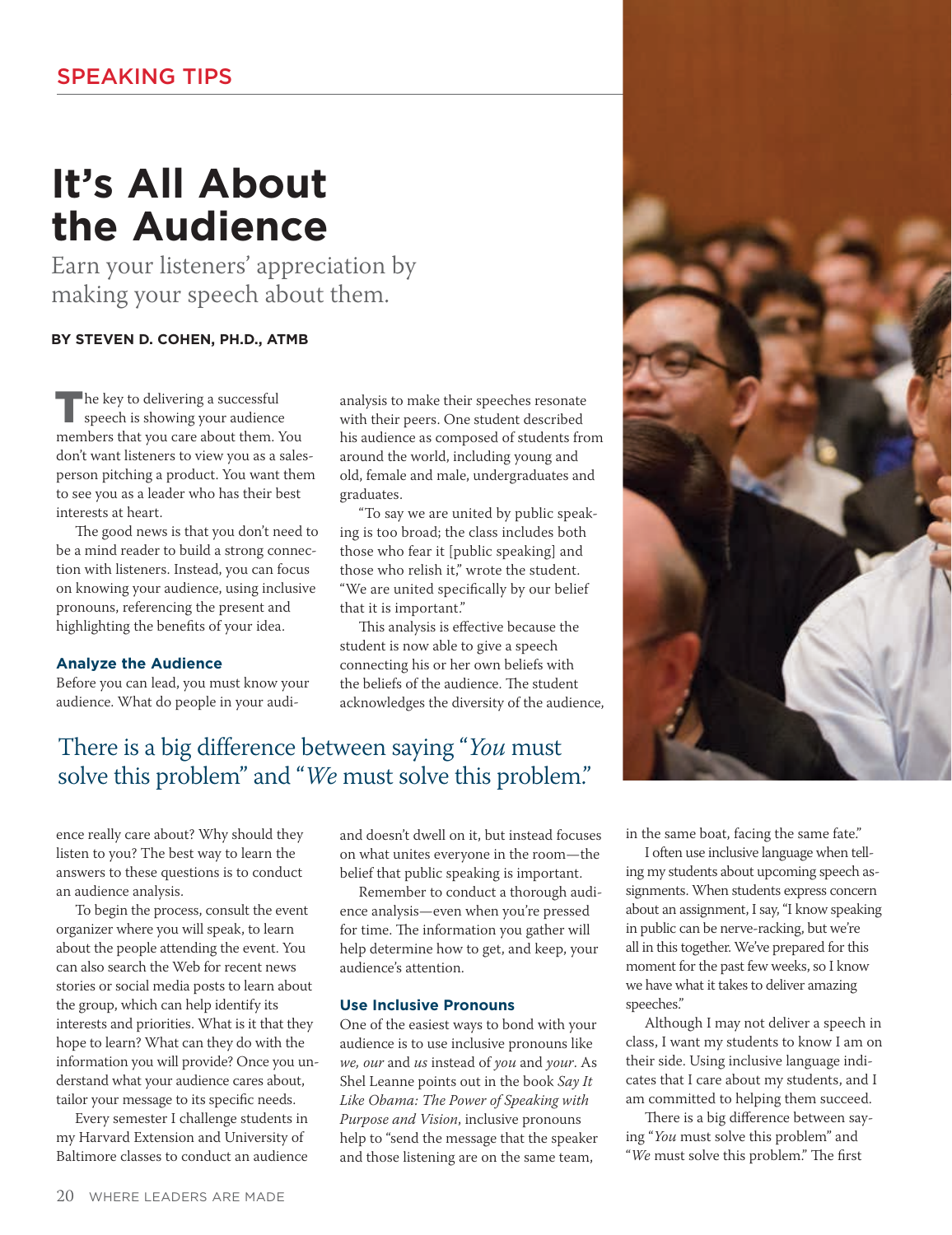# **It's All About the Audience**

Earn your listeners' appreciation by making your speech about them.

## **BY STEVEN D. COHEN, PH.D., ATMB**

The key to delivering a successful speech is showing your audience members that you care about them. You don't want listeners to view you as a salesperson pitching a product. You want them to see you as a leader who has their best interests at heart.

The good news is that you don't need to be a mind reader to build a strong connection with listeners. Instead, you can focus on knowing your audience, using inclusive pronouns, referencing the present and highlighting the benefits of your idea.

### **Analyze the Audience**

Before you can lead, you must know your audience. What do people in your audianalysis to make their speeches resonate with their peers. One student described his audience as composed of students from around the world, including young and old, female and male, undergraduates and graduates.

"To say we are united by public speaking is too broad; the class includes both those who fear it [public speaking] and those who relish it," wrote the student. "We are united specifically by our belief that it is important."

This analysis is effective because the student is now able to give a speech connecting his or her own beliefs with the beliefs of the audience. The student acknowledges the diversity of the audience,

# There is a big difference between saying "*You* must solve this problem" and "*We* must solve this problem."

ence really care about? Why should they listen to you? The best way to learn the answers to these questions is to conduct an audience analysis.

To begin the process, consult the event organizer where you will speak, to learn about the people attending the event. You can also search the Web for recent news stories or social media posts to learn about the group, which can help identify its interests and priorities. What is it that they hope to learn? What can they do with the information you will provide? Once you understand what your audience cares about, tailor your message to its specific needs.

Every semester I challenge students in my Harvard Extension and University of Baltimore classes to conduct an audience

and doesn't dwell on it, but instead focuses on what unites everyone in the room—the belief that public speaking is important.

Remember to conduct a thorough audience analysis—even when you're pressed for time. The information you gather will help determine how to get, and keep, your audience's attention.

### **Use Inclusive Pronouns**

One of the easiest ways to bond with your audience is to use inclusive pronouns like *we, our* and *us* instead of *you* and *your*. As Shel Leanne points out in the book *Say It Like Obama: The Power of Speaking with Purpose and Vision*, inclusive pronouns help to "send the message that the speaker and those listening are on the same team,

in the same boat, facing the same fate."

I often use inclusive language when telling my students about upcoming speech assignments. When students express concern about an assignment, I say, "I know speaking in public can be nerve-racking, but we're all in this together. We've prepared for this moment for the past few weeks, so I know we have what it takes to deliver amazing speeches."

Although I may not deliver a speech in class, I want my students to know I am on their side. Using inclusive language indicates that I care about my students, and I am committed to helping them succeed.

There is a big difference between saying "*You* must solve this problem" and "*We* must solve this problem." The first